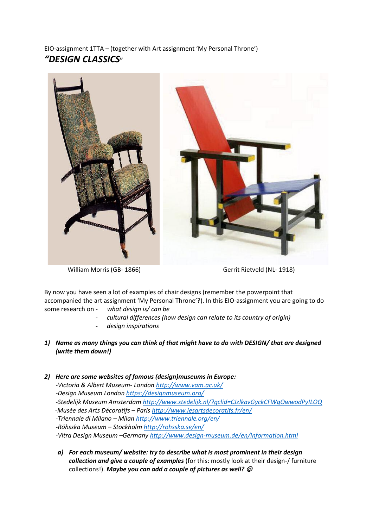EIO-assignment 1TTA – (together with Art assignment 'My Personal Throne') *"DESIGN CLASSICS***"** 



William Morris (GB- 1866) Gerrit Rietveld (NL- 1918)

By now you have seen a lot of examples of chair designs (remember the powerpoint that accompanied the art assignment 'My Personal Throne'?). In this EIO-assignment you are going to do some research on - *what design is/ can be*

- *cultural differences (how design can relate to its country of origin)*
- *design inspirations*
- *1) Name as many things you can think of that might have to do with DESIGN/ that are designed (write them down!)*
- *2) Here are some websites of famous (design)museums in Europe:*
	- *-Victoria & Albert Museum- London<http://www.vam.ac.uk/>*
	- *-Design Museum Londo[n https://designmuseum.org/](https://designmuseum.org/)*
	- *-Stedelijk Museum Amsterdam<http://www.stedelijk.nl/?gclid=CJzlkavGyckCFWgOwwodPyILOQ>*
	- -*Musée des Arts Décoratifs – Paris <http://www.lesartsdecoratifs.fr/en/>*
	- *-Triennale di Milano – Milan<http://www.triennale.org/en/>*
	- *-Röhsska Museum – Stockholm<http://rohsska.se/en/>*
	- *-Vitra Design Museum –Germany<http://www.design-museum.de/en/information.html>*
	- *a) For each museum/ website: try to describe what is most prominent in their design collection and give a couple of examples* (for this: mostly look at their design-/ furniture collections!). Maybe you can add a couple of pictures as well?  $\mathcal O$